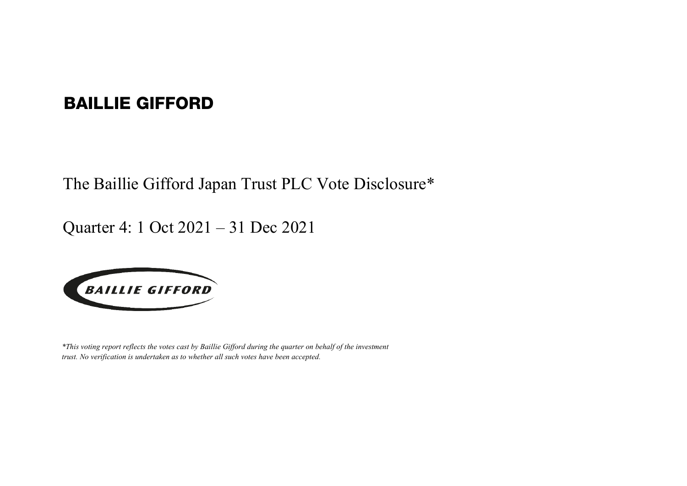## BAILLIE GIFFORD

The Baillie Gifford Japan Trust PLC Vote Disclosure\*

Quarter 4: 1 Oct 2021 – 31 Dec 2021



*\*This voting report reflects the votes cast by Baillie Gifford during the quarter on behalf of the investment trust. No verification is undertaken as to whether all such votes have been accepted.*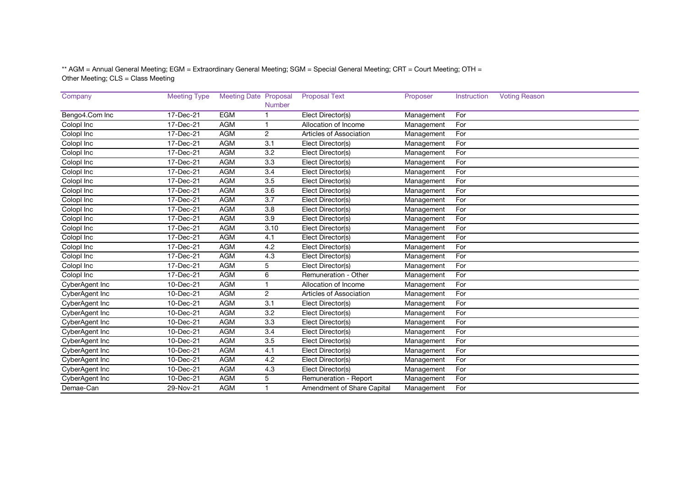\*\* AGM = Annual General Meeting; EGM = Extraordinary General Meeting; SGM = Special General Meeting; CRT = Court Meeting; OTH = Other Meeting; CLS = Class Meeting

| Company        | <b>Meeting Type</b>     | <b>Meeting Date Proposal</b> |                  | <b>Proposal Text</b>       | Proposer   | Instruction | <b>Voting Reason</b> |
|----------------|-------------------------|------------------------------|------------------|----------------------------|------------|-------------|----------------------|
|                |                         |                              | Number           |                            |            |             |                      |
| Bengo4.Com Inc | 17-Dec-21               | <b>EGM</b>                   |                  | Elect Director(s)          | Management | For         |                      |
| Colopl Inc     | 17-Dec-21               | <b>AGM</b>                   |                  | Allocation of Income       | Management | For         |                      |
| Colopl Inc     | 17-Dec-21               | <b>AGM</b>                   | 2                | Articles of Association    | Management | For         |                      |
| Colopl Inc     | 17-Dec-21               | <b>AGM</b>                   | 3.1              | Elect Director(s)          | Management | For         |                      |
| Colopl Inc     | 17-Dec-21               | <b>AGM</b>                   | 3.2              | Elect Director(s)          | Management | For         |                      |
| Colopl Inc     | 17-Dec-21               | <b>AGM</b>                   | 3.3              | Elect Director(s)          | Management | For         |                      |
| Colopl Inc     | 17-Dec-21               | <b>AGM</b>                   | 3.4              | Elect Director(s)          | Management | For         |                      |
| Colopl Inc     | 17-Dec-21               | <b>AGM</b>                   | 3.5              | Elect Director(s)          | Management | For         |                      |
| Colopl Inc     | 17-Dec-21               | <b>AGM</b>                   | 3.6              | Elect Director(s)          | Management | For         |                      |
| Colopl Inc     | 17-Dec-21               | <b>AGM</b>                   | 3.7              | Elect Director(s)          | Management | For         |                      |
| Colopl Inc     | 17-Dec-21               | <b>AGM</b>                   | 3.8              | Elect Director(s)          | Management | For         |                      |
| Colopl Inc     | 17-Dec-21               | <b>AGM</b>                   | 3.9              | Elect Director(s)          | Management | For         |                      |
| Colopl Inc     | 17-Dec-21               | <b>AGM</b>                   | 3.10             | Elect Director(s)          | Management | For         |                      |
| Colopl Inc     | 17-Dec-21               | <b>AGM</b>                   | 4.1              | Elect Director(s)          | Management | For         |                      |
| Colopl Inc     | $\overline{17}$ -Dec-21 | <b>AGM</b>                   | 4.2              | Elect Director(s)          | Management | For         |                      |
| Colopl Inc     | 17-Dec-21               | <b>AGM</b>                   | 4.3              | Elect Director(s)          | Management | For         |                      |
| Colopl Inc     | 17-Dec-21               | <b>AGM</b>                   | 5                | Elect Director(s)          | Management | For         |                      |
| Colopl Inc     | 17-Dec-21               | <b>AGM</b>                   | 6                | Remuneration - Other       | Management | For         |                      |
| CyberAgent Inc | 10-Dec-21               | <b>AGM</b>                   |                  | Allocation of Income       | Management | For         |                      |
| CyberAgent Inc | 10-Dec-21               | <b>AGM</b>                   | $\overline{2}$   | Articles of Association    | Management | For         |                      |
| CyberAgent Inc | 10-Dec-21               | <b>AGM</b>                   | 3.1              | Elect Director(s)          | Management | For         |                      |
| CyberAgent Inc | 10-Dec-21               | <b>AGM</b>                   | $\overline{3.2}$ | Elect Director(s)          | Management | For         |                      |
| CyberAgent Inc | 10-Dec-21               | <b>AGM</b>                   | 3.3              | Elect Director(s)          | Management | For         |                      |
| CyberAgent Inc | 10-Dec-21               | <b>AGM</b>                   | 3.4              | Elect Director(s)          | Management | For         |                      |
| CyberAgent Inc | 10-Dec-21               | <b>AGM</b>                   | 3.5              | Elect Director(s)          | Management | For         |                      |
| CyberAgent Inc | 10-Dec-21               | <b>AGM</b>                   | 4.1              | Elect Director(s)          | Management | For         |                      |
| CyberAgent Inc | 10-Dec-21               | <b>AGM</b>                   | 4.2              | Elect Director(s)          | Management | For         |                      |
| CyberAgent Inc | 10-Dec-21               | <b>AGM</b>                   | 4.3              | Elect Director(s)          | Management | For         |                      |
| CyberAgent Inc | 10-Dec-21               | <b>AGM</b>                   | 5                | Remuneration - Report      | Management | For         |                      |
| Demae-Can      | 29-Nov-21               | <b>AGM</b>                   |                  | Amendment of Share Capital | Management | For         |                      |